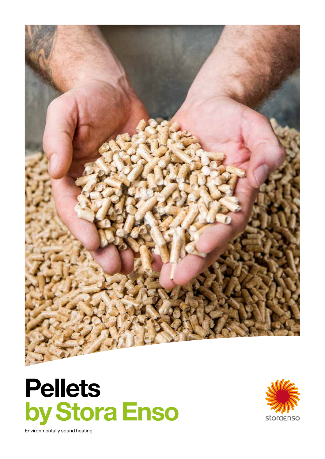





Environmentally sound heating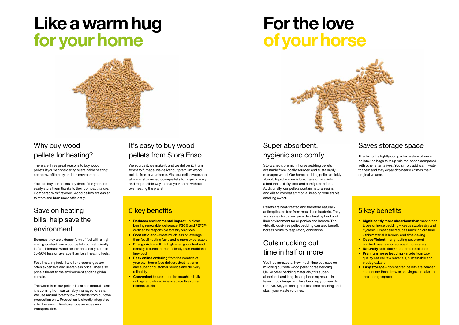## Why buy wood pellets for heating?

There are three great reasons to buy wood pellets if you're considering sustainable heating: economy, efficiency and the environment.

You can buy our pellets any time of the year and easily store them thanks to their compact nature. Compared with firewood, wood pellets are easier to store and burn more efficiently.

### Save on heating bills, help save the environment

Because they are a dense form of fuel with a high energy content, our wood pellets burn efficiently. In fact, biomass wood pellets can cost you up to 25-50% less on average than fossil heating fuels.

Fossil heating fuels like oil or propane gas are often expensive and unstable in price. They also pose a threat to the environment and the global climate.

The wood from our pellets is carbon neutral – and it is coming from sustainably managed forests. We use natural forestry by-products from our own production only. Production is directly integrated after the sawing line to reduce unnecessary transportation.

### Super absorbent, hygienic and comfy

Stora Enso's premium horse bedding pellets are made from locally sourced and sustainably managed wood. Our horse bedding pellets quickly absorb liquid and moisture, transforming into a bed that is fluffy, soft and comfy underfoot. Additionally, our pellets contain natural resins and oils to combat ammonia, keeping your stable smelling sweet.

Pellets are heat-treated and therefore naturally antiseptic and free from mould and bacteria. They are a safe choice and provide a healthy hoof and limb environment for all ponies and horses. The virtually dust-free pellet bedding can also benefit horses prone to respiratory conditions.

### Cuts mucking out time in half or more

- Significantly more absorbent than most other types of horse bedding – keeps stables dry and hygienic. Drastically reduces mucking out time – this material is labour- and time-saving
- Cost efficient long-lasting absorbent product means you replace it more rarely
- Naturally soft, fluffy and comfortable bed
- Premium horse bedding made from topquality natural raw materials, sustainable and biodegradable
- Easy storage compacted pellets are heavier and denser than straw or shavings and take up less storage space

You'll be amazed at how much time you save on mucking out with wood pellet horse bedding. Unlike other bedding materials, this superabsorbent and long-lasting bedding results in fewer muck heaps and less bedding you need to remove. So, you can spend less time cleaning and slash your waste volumes.



### It's easy to buy wood pellets from Stora Enso

We source it, we make it, and we deliver it. From forest to furnace, we deliver our premium wood pellets free to your home. Visit our online webshop at www.storaenso.com/pellets for a quick, easy and responsible way to heat your home without overheating the planet.

### 5 key benefits

- Reduces environmental impact a clean**burning renewable fuel source, FSC® and PEFC™** certified for responsible forestry practices
- Cost efficient costs much less on average than fossil heating fuels and is more price-stable
- Energy rich with its high energy content and density, it burns more efficiently than traditional firewood
- Easy online ordering from the comfort of your own home (see delivery destinations) and superior customer service and delivery reliability
- Convenient to use can be bought in bulk or bags and stored in less space than other biomass fuels

#### Saves storage space

Thanks to the tightly compacted nature of wood pellets, the bags take up minimal space compared with other alternatives. You simply add warm water to them and they expand to nearly 4 times their original volume.

#### 5 key benefits

# Like a warm hug for your home



## For the love of your horse